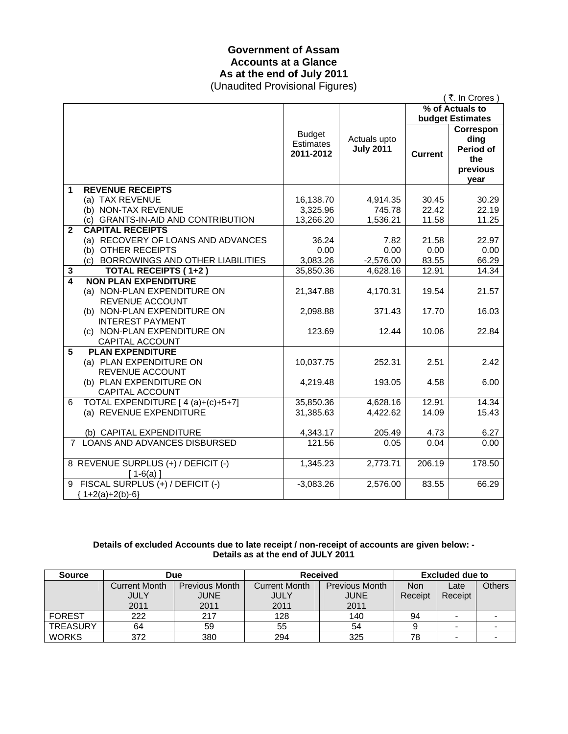### **Government of Assam Accounts at a Glance As at the end of July 2011**  (Unaudited Provisional Figures)

| (₹. In Crores)          |                                                                                                              |                                                |                                  |                |                                                           |  |
|-------------------------|--------------------------------------------------------------------------------------------------------------|------------------------------------------------|----------------------------------|----------------|-----------------------------------------------------------|--|
|                         |                                                                                                              |                                                | % of Actuals to                  |                |                                                           |  |
|                         |                                                                                                              |                                                |                                  |                | budget Estimates                                          |  |
|                         |                                                                                                              | <b>Budget</b><br><b>Estimates</b><br>2011-2012 | Actuals upto<br><b>July 2011</b> | <b>Current</b> | Correspon<br>ding<br>Period of<br>the<br>previous<br>year |  |
| 1                       | <b>REVENUE RECEIPTS</b>                                                                                      |                                                |                                  |                |                                                           |  |
|                         | (a) TAX REVENUE                                                                                              | 16,138.70                                      | 4,914.35                         | 30.45          | 30.29                                                     |  |
|                         | (b) NON-TAX REVENUE                                                                                          | 3,325.96                                       | 745.78                           | 22.42          | 22.19                                                     |  |
|                         | (c) GRANTS-IN-AID AND CONTRIBUTION                                                                           | 13,266.20                                      | 1,536.21                         | 11.58          | 11.25                                                     |  |
| $\mathbf{2}$            | <b>CAPITAL RECEIPTS</b>                                                                                      |                                                |                                  |                |                                                           |  |
|                         | (a) RECOVERY OF LOANS AND ADVANCES                                                                           | 36.24                                          | 7.82                             | 21.58          | 22.97                                                     |  |
|                         | (b) OTHER RECEIPTS                                                                                           | 0.00                                           | 0.00                             | 0.00           | 0.00                                                      |  |
|                         | (c) BORROWINGS AND OTHER LIABILITIES                                                                         | 3,083.26                                       | $-2,576.00$                      | 83.55          | 66.29                                                     |  |
| $\mathbf{3}$            | TOTAL RECEIPTS (1+2)                                                                                         | 35,850.36                                      | 4,628.16                         | 12.91          | 14.34                                                     |  |
| $\overline{\mathbf{A}}$ | <b>NON PLAN EXPENDITURE</b><br>(a) NON-PLAN EXPENDITURE ON<br>REVENUE ACCOUNT<br>(b) NON-PLAN EXPENDITURE ON | 21,347.88<br>2,098.88                          | 4,170.31<br>371.43               | 19.54<br>17.70 | 21.57<br>16.03                                            |  |
|                         | <b>INTEREST PAYMENT</b><br>(c) NON-PLAN EXPENDITURE ON<br>CAPITAL ACCOUNT                                    | 123.69                                         | 12.44                            | 10.06          | 22.84                                                     |  |
| 5                       | <b>PLAN EXPENDITURE</b><br>(a) PLAN EXPENDITURE ON<br>REVENUE ACCOUNT                                        | 10,037.75                                      | 252.31                           | 2.51           | 2.42                                                      |  |
|                         | (b) PLAN EXPENDITURE ON<br>CAPITAL ACCOUNT                                                                   | 4,219.48                                       | 193.05                           | 4.58           | 6.00                                                      |  |
| 6                       | TOTAL EXPENDITURE [ 4 (a)+(c)+5+7]<br>(a) REVENUE EXPENDITURE                                                | 35,850.36<br>31,385.63                         | 4,628.16<br>4,422.62             | 12.91<br>14.09 | 14.34<br>15.43                                            |  |
|                         | (b) CAPITAL EXPENDITURE                                                                                      | 4,343.17                                       | 205.49                           | 4.73           | 6.27                                                      |  |
|                         | 7 LOANS AND ADVANCES DISBURSED                                                                               | 121.56                                         | 0.05                             | 0.04           | 0.00                                                      |  |
|                         | 8 REVENUE SURPLUS (+) / DEFICIT (-)<br>$[1-6(a)]$                                                            | 1,345.23                                       | 2,773.71                         | 206.19         | 178.50                                                    |  |
|                         | 9 FISCAL SURPLUS (+) / DEFICIT (-)<br>${1+2(a)+2(b)-6}$                                                      | $-3,083.26$                                    | 2,576.00                         | 83.55          | 66.29                                                     |  |

#### **Details of excluded Accounts due to late receipt / non-receipt of accounts are given below: - Details as at the end of JULY 2011**

| <b>Source</b>   | Due                  |                       | <b>Received</b> |                       | <b>Excluded due to</b> |                          |        |
|-----------------|----------------------|-----------------------|-----------------|-----------------------|------------------------|--------------------------|--------|
|                 | <b>Current Month</b> | <b>Previous Month</b> | Current Month   | <b>Previous Month</b> | <b>Non</b>             | Late                     | Others |
|                 | <b>JULY</b>          | <b>JUNE</b>           | JULY            | JUNE                  | Receipt                | Receipt                  |        |
|                 | 2011                 | 2011                  | 2011            | 2011                  |                        |                          |        |
| <b>FOREST</b>   | 222                  | 217                   | 128             | 140                   | 94                     |                          |        |
| <b>TREASURY</b> | 64                   | 59                    | 55              | 54                    |                        | $\blacksquare$           |        |
| <b>WORKS</b>    | 372                  | 380                   | 294             | 325                   | 78                     | $\overline{\phantom{0}}$ |        |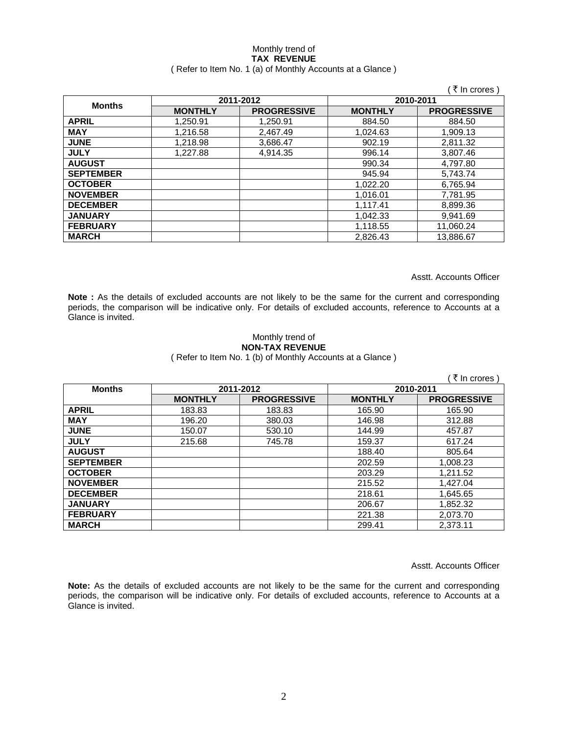#### Monthly trend of **TAX REVENUE**  ( Refer to Item No. 1 (a) of Monthly Accounts at a Glance )

|                  |                |                    |                | ∶₹ In crores )     |  |
|------------------|----------------|--------------------|----------------|--------------------|--|
| <b>Months</b>    |                | 2011-2012          | 2010-2011      |                    |  |
|                  | <b>MONTHLY</b> | <b>PROGRESSIVE</b> | <b>MONTHLY</b> | <b>PROGRESSIVE</b> |  |
| <b>APRIL</b>     | 1.250.91       | 1.250.91           | 884.50         | 884.50             |  |
| <b>MAY</b>       | 1,216.58       | 2,467.49           | 1,024.63       | 1,909.13           |  |
| <b>JUNE</b>      | 1,218.98       | 3,686.47           | 902.19         | 2,811.32           |  |
| <b>JULY</b>      | 1.227.88       | 4.914.35           | 996.14         | 3.807.46           |  |
| <b>AUGUST</b>    |                |                    | 990.34         | 4,797.80           |  |
| <b>SEPTEMBER</b> |                |                    | 945.94         | 5,743.74           |  |
| <b>OCTOBER</b>   |                |                    | 1,022.20       | 6,765.94           |  |
| <b>NOVEMBER</b>  |                |                    | 1,016.01       | 7,781.95           |  |
| <b>DECEMBER</b>  |                |                    | 1,117.41       | 8,899.36           |  |
| <b>JANUARY</b>   |                |                    | 1.042.33       | 9.941.69           |  |
| <b>FEBRUARY</b>  |                |                    | 1,118.55       | 11,060.24          |  |
| <b>MARCH</b>     |                |                    | 2,826.43       | 13,886.67          |  |

Asstt. Accounts Officer

**Note :** As the details of excluded accounts are not likely to be the same for the current and corresponding periods, the comparison will be indicative only. For details of excluded accounts, reference to Accounts at a Glance is invited.

### Monthly trend of **NON-TAX REVENUE**

( Refer to Item No. 1 (b) of Monthly Accounts at a Glance )

|                  |                |                    |                | ∶₹ In crores )     |
|------------------|----------------|--------------------|----------------|--------------------|
| <b>Months</b>    |                | 2011-2012          | 2010-2011      |                    |
|                  | <b>MONTHLY</b> | <b>PROGRESSIVE</b> | <b>MONTHLY</b> | <b>PROGRESSIVE</b> |
| <b>APRIL</b>     | 183.83         | 183.83             | 165.90         | 165.90             |
| <b>MAY</b>       | 196.20         | 380.03             | 146.98         | 312.88             |
| <b>JUNE</b>      | 150.07         | 530.10             | 144.99         | 457.87             |
| <b>JULY</b>      | 215.68         | 745.78             | 159.37         | 617.24             |
| <b>AUGUST</b>    |                |                    | 188.40         | 805.64             |
| <b>SEPTEMBER</b> |                |                    | 202.59         | 1.008.23           |
| <b>OCTOBER</b>   |                |                    | 203.29         | 1,211.52           |
| <b>NOVEMBER</b>  |                |                    | 215.52         | 1,427.04           |
| <b>DECEMBER</b>  |                |                    | 218.61         | 1,645.65           |
| <b>JANUARY</b>   |                |                    | 206.67         | 1,852.32           |
| <b>FEBRUARY</b>  |                |                    | 221.38         | 2,073.70           |
| <b>MARCH</b>     |                |                    | 299.41         | 2,373.11           |

Asstt. Accounts Officer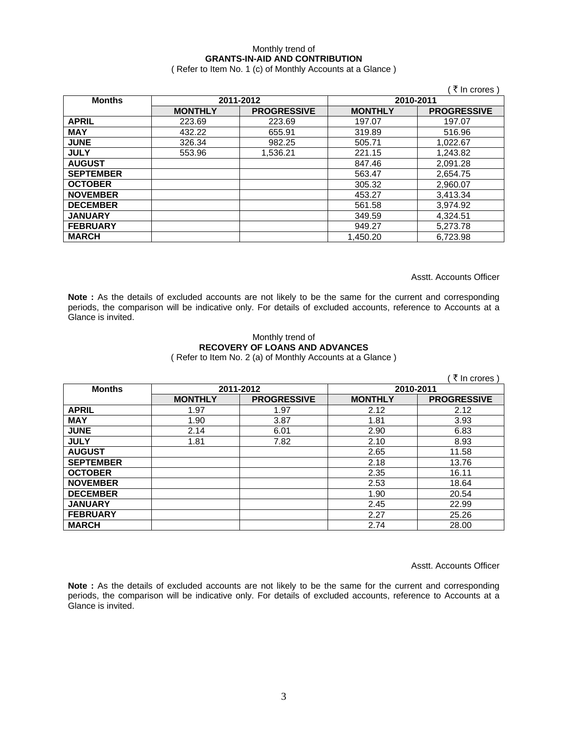### Monthly trend of **GRANTS-IN-AID AND CONTRIBUTION**

( Refer to Item No. 1 (c) of Monthly Accounts at a Glance )

|                  |                |                    |                | (₹In crores)       |
|------------------|----------------|--------------------|----------------|--------------------|
| <b>Months</b>    |                | 2011-2012          |                | 2010-2011          |
|                  | <b>MONTHLY</b> | <b>PROGRESSIVE</b> | <b>MONTHLY</b> | <b>PROGRESSIVE</b> |
| <b>APRIL</b>     | 223.69         | 223.69             | 197.07         | 197.07             |
| <b>MAY</b>       | 432.22         | 655.91             | 319.89         | 516.96             |
| <b>JUNE</b>      | 326.34         | 982.25             | 505.71         | 1,022.67           |
| <b>JULY</b>      | 553.96         | 1,536.21           | 221.15         | 1,243.82           |
| <b>AUGUST</b>    |                |                    | 847.46         | 2,091.28           |
| <b>SEPTEMBER</b> |                |                    | 563.47         | 2,654.75           |
| <b>OCTOBER</b>   |                |                    | 305.32         | 2,960.07           |
| <b>NOVEMBER</b>  |                |                    | 453.27         | 3,413.34           |
| <b>DECEMBER</b>  |                |                    | 561.58         | 3,974.92           |
| <b>JANUARY</b>   |                |                    | 349.59         | 4,324.51           |
| <b>FEBRUARY</b>  |                |                    | 949.27         | 5,273.78           |
| <b>MARCH</b>     |                |                    | 1,450.20       | 6,723.98           |

Asstt. Accounts Officer

**Note :** As the details of excluded accounts are not likely to be the same for the current and corresponding periods, the comparison will be indicative only. For details of excluded accounts, reference to Accounts at a Glance is invited.

#### Monthly trend of **RECOVERY OF LOANS AND ADVANCES**  ( Refer to Item No. 2 (a) of Monthly Accounts at a Glance )

|                  |                |                    |                | ₹ In crores)       |
|------------------|----------------|--------------------|----------------|--------------------|
| <b>Months</b>    | 2011-2012      |                    | 2010-2011      |                    |
|                  | <b>MONTHLY</b> | <b>PROGRESSIVE</b> | <b>MONTHLY</b> | <b>PROGRESSIVE</b> |
| <b>APRIL</b>     | 1.97           | 1.97               | 2.12           | 2.12               |
| <b>MAY</b>       | 1.90           | 3.87               | 1.81           | 3.93               |
| <b>JUNE</b>      | 2.14           | 6.01               | 2.90           | 6.83               |
| <b>JULY</b>      | 1.81           | 7.82               | 2.10           | 8.93               |
| <b>AUGUST</b>    |                |                    | 2.65           | 11.58              |
| <b>SEPTEMBER</b> |                |                    | 2.18           | 13.76              |
| <b>OCTOBER</b>   |                |                    | 2.35           | 16.11              |
| <b>NOVEMBER</b>  |                |                    | 2.53           | 18.64              |
| <b>DECEMBER</b>  |                |                    | 1.90           | 20.54              |
| <b>JANUARY</b>   |                |                    | 2.45           | 22.99              |
| <b>FEBRUARY</b>  |                |                    | 2.27           | 25.26              |
| <b>MARCH</b>     |                |                    | 2.74           | 28.00              |

Asstt. Accounts Officer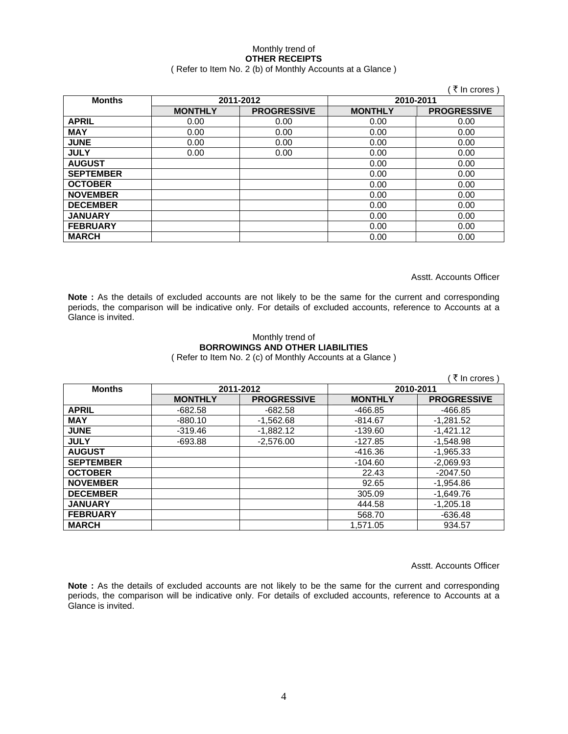# Monthly trend of **OTHER RECEIPTS**

# ( Refer to Item No. 2 (b) of Monthly Accounts at a Glance )

|                  |                |                    |                | ∶ ₹ In crores )    |
|------------------|----------------|--------------------|----------------|--------------------|
| <b>Months</b>    |                | 2011-2012          | 2010-2011      |                    |
|                  | <b>MONTHLY</b> | <b>PROGRESSIVE</b> | <b>MONTHLY</b> | <b>PROGRESSIVE</b> |
| <b>APRIL</b>     | 0.00           | 0.00               | 0.00           | 0.00               |
| <b>MAY</b>       | 0.00           | 0.00               | 0.00           | 0.00               |
| <b>JUNE</b>      | 0.00           | 0.00               | 0.00           | 0.00               |
| <b>JULY</b>      | 0.00           | 0.00               | 0.00           | 0.00               |
| <b>AUGUST</b>    |                |                    | 0.00           | 0.00               |
| <b>SEPTEMBER</b> |                |                    | 0.00           | 0.00               |
| <b>OCTOBER</b>   |                |                    | 0.00           | 0.00               |
| <b>NOVEMBER</b>  |                |                    | 0.00           | 0.00               |
| <b>DECEMBER</b>  |                |                    | 0.00           | 0.00               |
| <b>JANUARY</b>   |                |                    | 0.00           | 0.00               |
| <b>FEBRUARY</b>  |                |                    | 0.00           | 0.00               |
| <b>MARCH</b>     |                |                    | 0.00           | 0.00               |

Asstt. Accounts Officer

Note : As the details of excluded accounts are not likely to be the same for the current and corresponding periods, the comparison will be indicative only. For details of excluded accounts, reference to Accounts at a Glance is invited.

# Monthly trend of **BORROWINGS AND OTHER LIABILITIES**

( Refer to Item No. 2 (c) of Monthly Accounts at a Glance )

| ्रे In crores )  |                |                    |                |                    |  |
|------------------|----------------|--------------------|----------------|--------------------|--|
| <b>Months</b>    | 2011-2012      |                    | 2010-2011      |                    |  |
|                  | <b>MONTHLY</b> | <b>PROGRESSIVE</b> | <b>MONTHLY</b> | <b>PROGRESSIVE</b> |  |
| <b>APRIL</b>     | $-682.58$      | $-682.58$          | -466.85        | -466.85            |  |
| <b>MAY</b>       | $-880.10$      | $-1,562.68$        | $-814.67$      | $-1,281.52$        |  |
| <b>JUNE</b>      | $-319.46$      | $-1.882.12$        | $-139.60$      | $-1,421.12$        |  |
| <b>JULY</b>      | $-693.88$      | $-2,576.00$        | -127.85        | $-1.548.98$        |  |
| <b>AUGUST</b>    |                |                    | -416.36        | $-1,965.33$        |  |
| <b>SEPTEMBER</b> |                |                    | $-104.60$      | $-2,069.93$        |  |
| <b>OCTOBER</b>   |                |                    | 22.43          | $-2047.50$         |  |
| <b>NOVEMBER</b>  |                |                    | 92.65          | $-1,954.86$        |  |
| <b>DECEMBER</b>  |                |                    | 305.09         | $-1,649.76$        |  |
| <b>JANUARY</b>   |                |                    | 444.58         | $-1,205.18$        |  |
| <b>FEBRUARY</b>  |                |                    | 568.70         | $-636.48$          |  |
| <b>MARCH</b>     |                |                    | 1,571.05       | 934.57             |  |

Asstt. Accounts Officer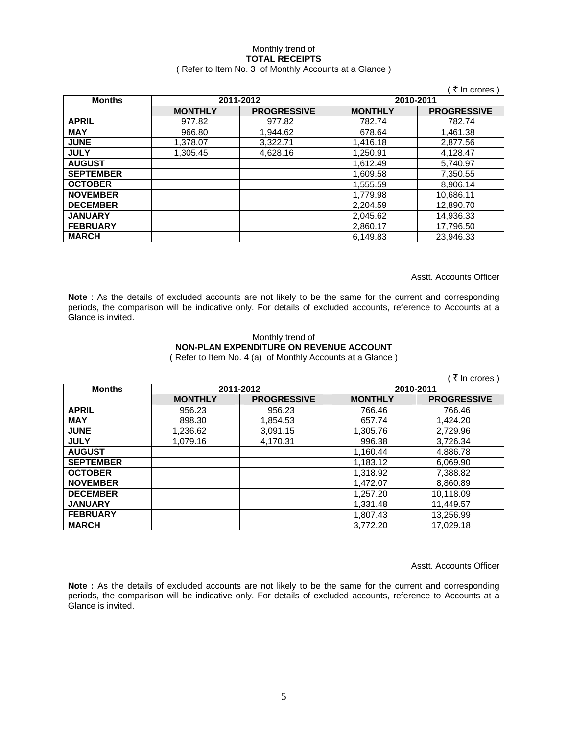# Monthly trend of **TOTAL RECEIPTS**

### ( Refer to Item No. 3 of Monthly Accounts at a Glance )

|                  |                |                    |                | ₹ In crores        |
|------------------|----------------|--------------------|----------------|--------------------|
| <b>Months</b>    |                | 2011-2012          | 2010-2011      |                    |
|                  | <b>MONTHLY</b> | <b>PROGRESSIVE</b> | <b>MONTHLY</b> | <b>PROGRESSIVE</b> |
| <b>APRIL</b>     | 977.82         | 977.82             | 782.74         | 782.74             |
| <b>MAY</b>       | 966.80         | 1.944.62           | 678.64         | 1.461.38           |
| <b>JUNE</b>      | 1,378.07       | 3,322.71           | 1,416.18       | 2,877.56           |
| <b>JULY</b>      | 1.305.45       | 4,628.16           | 1,250.91       | 4,128.47           |
| <b>AUGUST</b>    |                |                    | 1.612.49       | 5,740.97           |
| <b>SEPTEMBER</b> |                |                    | 1,609.58       | 7,350.55           |
| <b>OCTOBER</b>   |                |                    | 1,555.59       | 8,906.14           |
| <b>NOVEMBER</b>  |                |                    | 1,779.98       | 10,686.11          |
| <b>DECEMBER</b>  |                |                    | 2,204.59       | 12,890.70          |
| <b>JANUARY</b>   |                |                    | 2,045.62       | 14,936.33          |
| <b>FEBRUARY</b>  |                |                    | 2,860.17       | 17,796.50          |
| <b>MARCH</b>     |                |                    | 6.149.83       | 23,946.33          |

Asstt. Accounts Officer

**Note** : As the details of excluded accounts are not likely to be the same for the current and corresponding periods, the comparison will be indicative only. For details of excluded accounts, reference to Accounts at a Glance is invited.

#### Monthly trend of **NON-PLAN EXPENDITURE ON REVENUE ACCOUNT**  ( Refer to Item No. 4 (a) of Monthly Accounts at a Glance )

| ं ₹ In crores )  |                |                    |                |                    |  |
|------------------|----------------|--------------------|----------------|--------------------|--|
| <b>Months</b>    |                | 2011-2012          | 2010-2011      |                    |  |
|                  | <b>MONTHLY</b> | <b>PROGRESSIVE</b> | <b>MONTHLY</b> | <b>PROGRESSIVE</b> |  |
| <b>APRIL</b>     | 956.23         | 956.23             | 766.46         | 766.46             |  |
| <b>MAY</b>       | 898.30         | 1,854.53           | 657.74         | 1.424.20           |  |
| <b>JUNE</b>      | 1,236.62       | 3,091.15           | 1,305.76       | 2,729.96           |  |
| <b>JULY</b>      | 1.079.16       | 4.170.31           | 996.38         | 3.726.34           |  |
| <b>AUGUST</b>    |                |                    | 1,160.44       | 4.886.78           |  |
| <b>SEPTEMBER</b> |                |                    | 1,183.12       | 6,069.90           |  |
| <b>OCTOBER</b>   |                |                    | 1,318.92       | 7,388.82           |  |
| <b>NOVEMBER</b>  |                |                    | 1,472.07       | 8,860.89           |  |
| <b>DECEMBER</b>  |                |                    | 1,257.20       | 10,118.09          |  |
| <b>JANUARY</b>   |                |                    | 1,331.48       | 11,449.57          |  |
| <b>FEBRUARY</b>  |                |                    | 1,807.43       | 13,256.99          |  |
| <b>MARCH</b>     |                |                    | 3.772.20       | 17.029.18          |  |

Asstt. Accounts Officer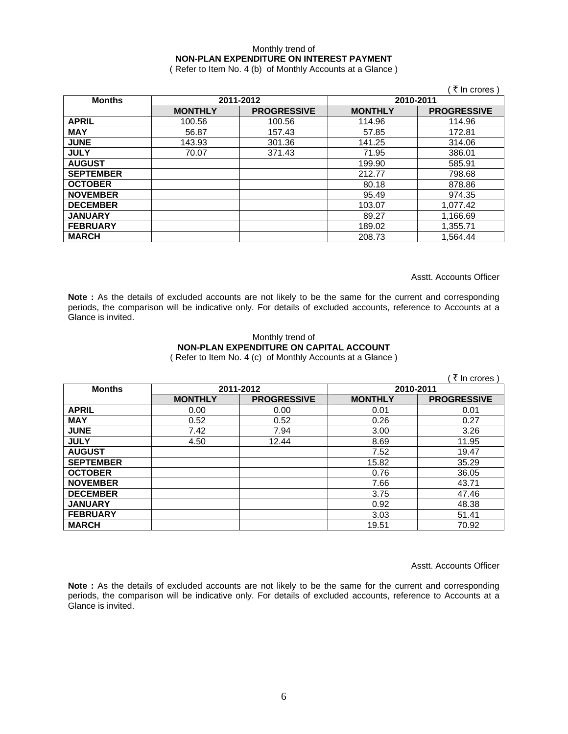### Monthly trend of **NON-PLAN EXPENDITURE ON INTEREST PAYMENT**

( Refer to Item No. 4 (b) of Monthly Accounts at a Glance )

|                  |                |                    |                | ( ₹ In crores )    |
|------------------|----------------|--------------------|----------------|--------------------|
| <b>Months</b>    |                | 2011-2012          |                | 2010-2011          |
|                  | <b>MONTHLY</b> | <b>PROGRESSIVE</b> | <b>MONTHLY</b> | <b>PROGRESSIVE</b> |
| <b>APRIL</b>     | 100.56         | 100.56             | 114.96         | 114.96             |
| <b>MAY</b>       | 56.87          | 157.43             | 57.85          | 172.81             |
| <b>JUNE</b>      | 143.93         | 301.36             | 141.25         | 314.06             |
| <b>JULY</b>      | 70.07          | 371.43             | 71.95          | 386.01             |
| <b>AUGUST</b>    |                |                    | 199.90         | 585.91             |
| <b>SEPTEMBER</b> |                |                    | 212.77         | 798.68             |
| <b>OCTOBER</b>   |                |                    | 80.18          | 878.86             |
| <b>NOVEMBER</b>  |                |                    | 95.49          | 974.35             |
| <b>DECEMBER</b>  |                |                    | 103.07         | 1,077.42           |
| <b>JANUARY</b>   |                |                    | 89.27          | 1,166.69           |
| <b>FEBRUARY</b>  |                |                    | 189.02         | 1,355.71           |
| <b>MARCH</b>     |                |                    | 208.73         | 1,564.44           |

Asstt. Accounts Officer

Note : As the details of excluded accounts are not likely to be the same for the current and corresponding periods, the comparison will be indicative only. For details of excluded accounts, reference to Accounts at a Glance is invited.

#### Monthly trend of **NON-PLAN EXPENDITURE ON CAPITAL ACCOUNT**  ( Refer to Item No. 4 (c) of Monthly Accounts at a Glance )

|                  |                |                    |                | ( ₹ In crores)     |
|------------------|----------------|--------------------|----------------|--------------------|
| <b>Months</b>    |                | 2011-2012          | 2010-2011      |                    |
|                  | <b>MONTHLY</b> | <b>PROGRESSIVE</b> | <b>MONTHLY</b> | <b>PROGRESSIVE</b> |
| <b>APRIL</b>     | 0.00           | 0.00               | 0.01           | 0.01               |
| <b>MAY</b>       | 0.52           | 0.52               | 0.26           | 0.27               |
| <b>JUNE</b>      | 7.42           | 7.94               | 3.00           | 3.26               |
| <b>JULY</b>      | 4.50           | 12.44              | 8.69           | 11.95              |
| <b>AUGUST</b>    |                |                    | 7.52           | 19.47              |
| <b>SEPTEMBER</b> |                |                    | 15.82          | 35.29              |
| <b>OCTOBER</b>   |                |                    | 0.76           | 36.05              |
| <b>NOVEMBER</b>  |                |                    | 7.66           | 43.71              |
| <b>DECEMBER</b>  |                |                    | 3.75           | 47.46              |
| <b>JANUARY</b>   |                |                    | 0.92           | 48.38              |
| <b>FEBRUARY</b>  |                |                    | 3.03           | 51.41              |
| <b>MARCH</b>     |                |                    | 19.51          | 70.92              |

Asstt. Accounts Officer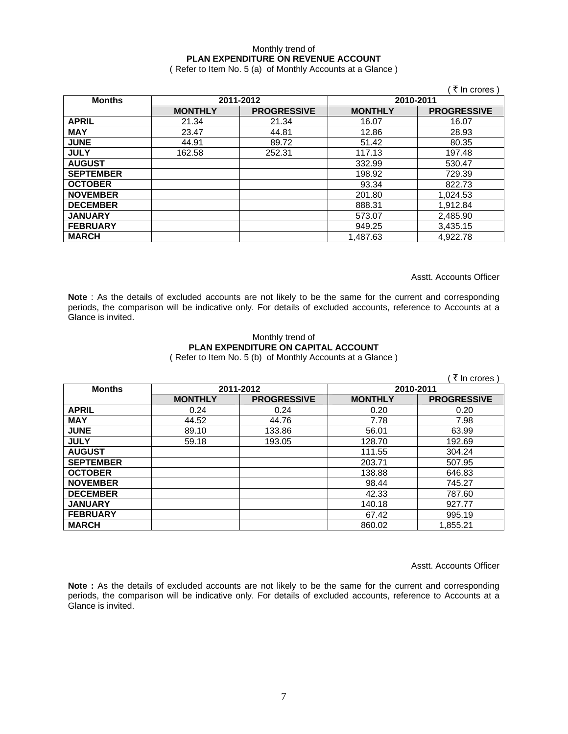### Monthly trend of **PLAN EXPENDITURE ON REVENUE ACCOUNT**

( Refer to Item No. 5 (a) of Monthly Accounts at a Glance )

|                  |                |                    |                | ₹ In crores)       |
|------------------|----------------|--------------------|----------------|--------------------|
| <b>Months</b>    | 2011-2012      |                    | 2010-2011      |                    |
|                  | <b>MONTHLY</b> | <b>PROGRESSIVE</b> | <b>MONTHLY</b> | <b>PROGRESSIVE</b> |
| <b>APRIL</b>     | 21.34          | 21.34              | 16.07          | 16.07              |
| <b>MAY</b>       | 23.47          | 44.81              | 12.86          | 28.93              |
| <b>JUNE</b>      | 44.91          | 89.72              | 51.42          | 80.35              |
| <b>JULY</b>      | 162.58         | 252.31             | 117.13         | 197.48             |
| <b>AUGUST</b>    |                |                    | 332.99         | 530.47             |
| <b>SEPTEMBER</b> |                |                    | 198.92         | 729.39             |
| <b>OCTOBER</b>   |                |                    | 93.34          | 822.73             |
| <b>NOVEMBER</b>  |                |                    | 201.80         | 1,024.53           |
| <b>DECEMBER</b>  |                |                    | 888.31         | 1,912.84           |
| <b>JANUARY</b>   |                |                    | 573.07         | 2,485.90           |
| <b>FEBRUARY</b>  |                |                    | 949.25         | 3,435.15           |
| <b>MARCH</b>     |                |                    | 1,487.63       | 4,922.78           |

Asstt. Accounts Officer

**Note** : As the details of excluded accounts are not likely to be the same for the current and corresponding periods, the comparison will be indicative only. For details of excluded accounts, reference to Accounts at a Glance is invited.

# Monthly trend of **PLAN EXPENDITURE ON CAPITAL ACCOUNT**

( Refer to Item No. 5 (b) of Monthly Accounts at a Glance )

|                  |                |                    |                | ∶ ₹ In crores )    |
|------------------|----------------|--------------------|----------------|--------------------|
| <b>Months</b>    | 2011-2012      |                    | 2010-2011      |                    |
|                  | <b>MONTHLY</b> | <b>PROGRESSIVE</b> | <b>MONTHLY</b> | <b>PROGRESSIVE</b> |
| <b>APRIL</b>     | 0.24           | 0.24               | 0.20           | 0.20               |
| <b>MAY</b>       | 44.52          | 44.76              | 7.78           | 7.98               |
| <b>JUNE</b>      | 89.10          | 133.86             | 56.01          | 63.99              |
| <b>JULY</b>      | 59.18          | 193.05             | 128.70         | 192.69             |
| <b>AUGUST</b>    |                |                    | 111.55         | 304.24             |
| <b>SEPTEMBER</b> |                |                    | 203.71         | 507.95             |
| <b>OCTOBER</b>   |                |                    | 138.88         | 646.83             |
| <b>NOVEMBER</b>  |                |                    | 98.44          | 745.27             |
| <b>DECEMBER</b>  |                |                    | 42.33          | 787.60             |
| <b>JANUARY</b>   |                |                    | 140.18         | 927.77             |
| <b>FEBRUARY</b>  |                |                    | 67.42          | 995.19             |
| <b>MARCH</b>     |                |                    | 860.02         | 1,855.21           |

Asstt. Accounts Officer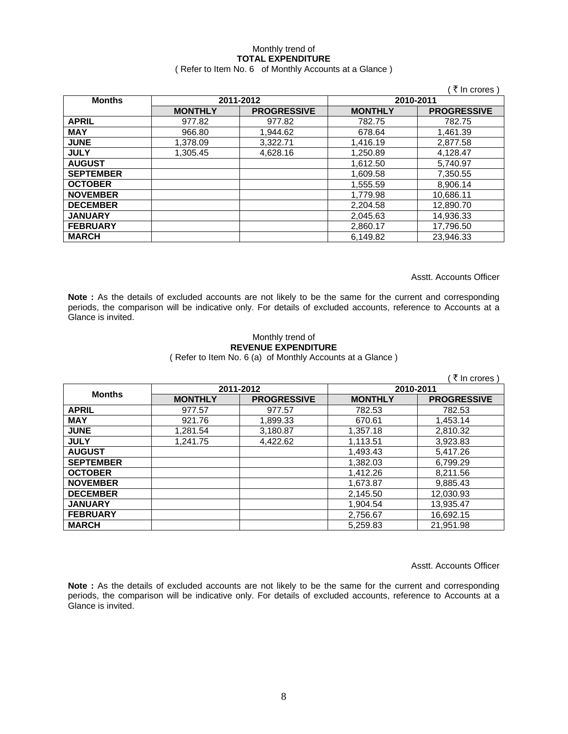# Monthly trend of **TOTAL EXPENDITURE**

### ( Refer to Item No. 6 of Monthly Accounts at a Glance )

|                  |                |                    |                | ₹ In crores        |
|------------------|----------------|--------------------|----------------|--------------------|
| <b>Months</b>    | 2011-2012      |                    | 2010-2011      |                    |
|                  | <b>MONTHLY</b> | <b>PROGRESSIVE</b> | <b>MONTHLY</b> | <b>PROGRESSIVE</b> |
| <b>APRIL</b>     | 977.82         | 977.82             | 782.75         | 782.75             |
| <b>MAY</b>       | 966.80         | 1.944.62           | 678.64         | 1.461.39           |
| <b>JUNE</b>      | 1,378.09       | 3,322.71           | 1,416.19       | 2,877.58           |
| <b>JULY</b>      | 1.305.45       | 4,628.16           | 1,250.89       | 4,128.47           |
| <b>AUGUST</b>    |                |                    | 1,612.50       | 5,740.97           |
| <b>SEPTEMBER</b> |                |                    | 1,609.58       | 7,350.55           |
| <b>OCTOBER</b>   |                |                    | 1,555.59       | 8,906.14           |
| <b>NOVEMBER</b>  |                |                    | 1,779.98       | 10,686.11          |
| <b>DECEMBER</b>  |                |                    | 2,204.58       | 12,890.70          |
| <b>JANUARY</b>   |                |                    | 2,045.63       | 14,936.33          |
| <b>FEBRUARY</b>  |                |                    | 2,860.17       | 17,796.50          |
| <b>MARCH</b>     |                |                    | 6,149.82       | 23.946.33          |

Asstt. Accounts Officer

**Note :** As the details of excluded accounts are not likely to be the same for the current and corresponding periods, the comparison will be indicative only. For details of excluded accounts, reference to Accounts at a Glance is invited.

#### Monthly trend of **REVENUE EXPENDITURE**  ( Refer to Item No. 6 (a) of Monthly Accounts at a Glance )

( $\bar{\tau}$  In crores) **Months 2011-2012 2010-2011 MONTHLY PROGRESSIVE MONTHLY PROGRESSIVE APRIL** 977.57 977.57 782.53 782.53 **MAY** 921.76 1,899.33 670.61 1,453.14 **JUNE** | 1,281.54 | 3,180.87 | 1,357.18 | 2,810.32 **JULY** 1,241.75 4,422.62 1,113.51 3,923.83 **AUGUST** 1,493.43 5,417.26 **SEPTEMBER** | 2009.29 | 2010 | 2020 | 2020 | 2020 | 2020 | 2020 | 2020 | 2020 | 2020 | 2020 | 2020 | 2020 | 2020 | 2020 | 2020 | 2020 | 2020 | 2020 | 2020 | 2020 | 2020 | 2020 | 2020 | 2020 | 2020 | 2020 | 2020 | 2020 | 20 **OCTOBER** | 2009 | 21,412.26 | 21,412.26 | 21,413.56 **NOVEMBER** | 2009 | 2009 | 2009 | 2010 | 2020 | 2020 | 2030 | 2040 | 2020 | 2020 | 2020 | 2020 | 2020 | 2020 | 20 **DECEMBER** | 2,145.50 | 12,030.93 **JANUARY** 1,904.54 13,935.47 **FEBRUARY** | 2,756.67 | 16,692.15 **MARCH** 5,259.83 21,951.98

Asstt. Accounts Officer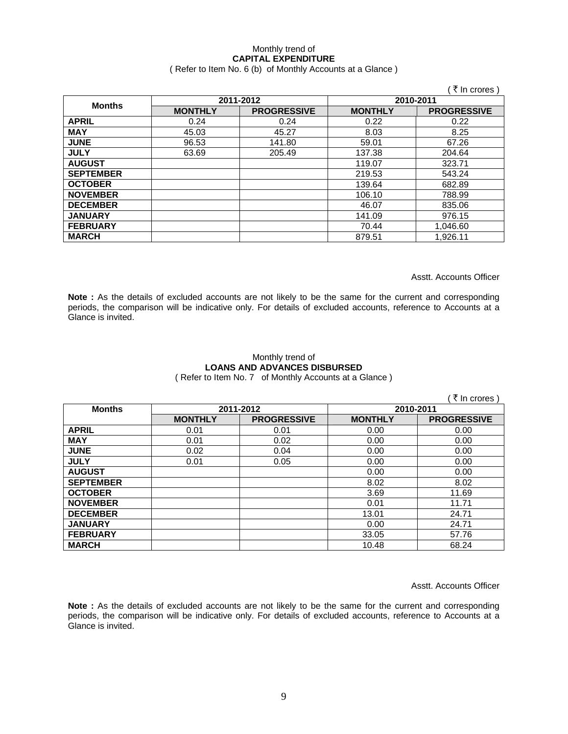### Monthly trend of **CAPITAL EXPENDITURE**

### ( Refer to Item No. 6 (b) of Monthly Accounts at a Glance )

|                  |                |                    |                | ₹ In crores        |
|------------------|----------------|--------------------|----------------|--------------------|
| <b>Months</b>    | 2011-2012      |                    | 2010-2011      |                    |
|                  | <b>MONTHLY</b> | <b>PROGRESSIVE</b> | <b>MONTHLY</b> | <b>PROGRESSIVE</b> |
| <b>APRIL</b>     | 0.24           | 0.24               | 0.22           | 0.22               |
| <b>MAY</b>       | 45.03          | 45.27              | 8.03           | 8.25               |
| <b>JUNE</b>      | 96.53          | 141.80             | 59.01          | 67.26              |
| <b>JULY</b>      | 63.69          | 205.49             | 137.38         | 204.64             |
| <b>AUGUST</b>    |                |                    | 119.07         | 323.71             |
| <b>SEPTEMBER</b> |                |                    | 219.53         | 543.24             |
| <b>OCTOBER</b>   |                |                    | 139.64         | 682.89             |
| <b>NOVEMBER</b>  |                |                    | 106.10         | 788.99             |
| <b>DECEMBER</b>  |                |                    | 46.07          | 835.06             |
| <b>JANUARY</b>   |                |                    | 141.09         | 976.15             |
| <b>FEBRUARY</b>  |                |                    | 70.44          | 1,046.60           |
| <b>MARCH</b>     |                |                    | 879.51         | 1,926.11           |

Asstt. Accounts Officer

**Note :** As the details of excluded accounts are not likely to be the same for the current and corresponding periods, the comparison will be indicative only. For details of excluded accounts, reference to Accounts at a Glance is invited.

## Monthly trend of **LOANS AND ADVANCES DISBURSED**

( Refer to Item No. 7 of Monthly Accounts at a Glance )

|                  |                |                    |                | ∶₹ In crores )     |
|------------------|----------------|--------------------|----------------|--------------------|
| <b>Months</b>    | 2011-2012      |                    | 2010-2011      |                    |
|                  | <b>MONTHLY</b> | <b>PROGRESSIVE</b> | <b>MONTHLY</b> | <b>PROGRESSIVE</b> |
| <b>APRIL</b>     | 0.01           | 0.01               | 0.00           | 0.00               |
| <b>MAY</b>       | 0.01           | 0.02               | 0.00           | 0.00               |
| <b>JUNE</b>      | 0.02           | 0.04               | 0.00           | 0.00               |
| <b>JULY</b>      | 0.01           | 0.05               | 0.00           | 0.00               |
| <b>AUGUST</b>    |                |                    | 0.00           | 0.00               |
| <b>SEPTEMBER</b> |                |                    | 8.02           | 8.02               |
| <b>OCTOBER</b>   |                |                    | 3.69           | 11.69              |
| <b>NOVEMBER</b>  |                |                    | 0.01           | 11.71              |
| <b>DECEMBER</b>  |                |                    | 13.01          | 24.71              |
| <b>JANUARY</b>   |                |                    | 0.00           | 24.71              |
| <b>FEBRUARY</b>  |                |                    | 33.05          | 57.76              |
| <b>MARCH</b>     |                |                    | 10.48          | 68.24              |

Asstt. Accounts Officer